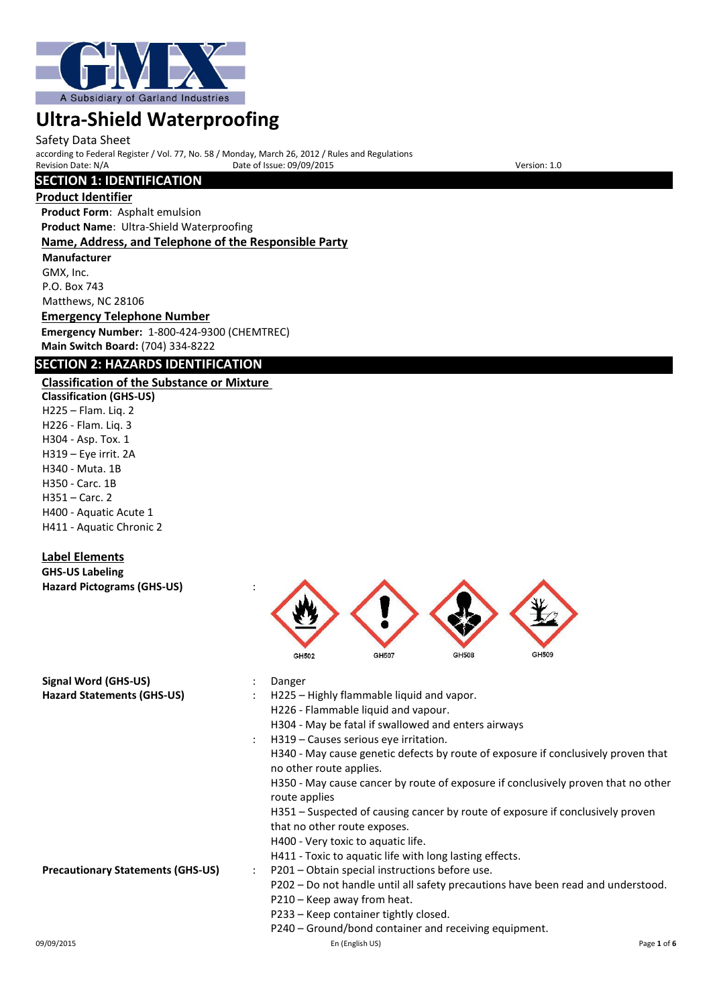

#### Safety Data Sheet

according to Federal Register / Vol. 77, No. 58 / Monday, March 26, 2012 / Rules and Regulations Provide of Issue: 09/09/2015

# **SECTION 1: IDENTIFICATION**

#### **Product Identifier**

**Product Form**: Asphalt emulsion **Product Name**: Ultra-Shield Waterproofing **Name, Address, and Telephone of the Responsible Party**

**Manufacturer** GMX, Inc. P.O. Box 743 Matthews, NC 28106

**Emergency Telephone Number Emergency Number:** 1-800-424-9300 (CHEMTREC) **Main Switch Board:** (704) 334-8222

# **SECTION 2: HAZARDS IDENTIFICATION**

# **Classification of the Substance or Mixture**

**Classification (GHS-US)** H225 – Flam. Liq. 2 H226 - Flam. Liq. 3 H304 - Asp. Tox. 1 H319 – Eye irrit. 2A H340 - Muta. 1B H350 - Carc. 1B H351 – Carc. 2 H400 - Aquatic Acute 1 H411 - Aquatic Chronic 2

## **Label Elements**

**GHS-US Labeling Hazard Pictograms (GHS-US)** :



| Signal Word (GHS-US)                     |                      | Danger                                                                                                       |             |
|------------------------------------------|----------------------|--------------------------------------------------------------------------------------------------------------|-------------|
| <b>Hazard Statements (GHS-US)</b>        |                      | H225 – Highly flammable liquid and vapor.                                                                    |             |
|                                          |                      | H226 - Flammable liquid and vapour.                                                                          |             |
|                                          |                      | H304 - May be fatal if swallowed and enters airways                                                          |             |
|                                          |                      | H319 – Causes serious eye irritation.                                                                        |             |
|                                          |                      | H340 - May cause genetic defects by route of exposure if conclusively proven that<br>no other route applies. |             |
|                                          |                      | H350 - May cause cancer by route of exposure if conclusively proven that no other<br>route applies           |             |
|                                          |                      | H351 – Suspected of causing cancer by route of exposure if conclusively proven                               |             |
|                                          |                      | that no other route exposes.                                                                                 |             |
|                                          |                      | H400 - Very toxic to aquatic life.                                                                           |             |
|                                          |                      | H411 - Toxic to aquatic life with long lasting effects.                                                      |             |
| <b>Precautionary Statements (GHS-US)</b> | $\ddot{\phantom{0}}$ | P201 – Obtain special instructions before use.                                                               |             |
|                                          |                      | P202 – Do not handle until all safety precautions have been read and understood.                             |             |
|                                          |                      | P210 - Keep away from heat.                                                                                  |             |
|                                          |                      | P233 – Keep container tightly closed.                                                                        |             |
|                                          |                      | P240 - Ground/bond container and receiving equipment.                                                        |             |
| 09/09/2015                               |                      | En (English US)                                                                                              | Page 1 of 6 |
|                                          |                      |                                                                                                              |             |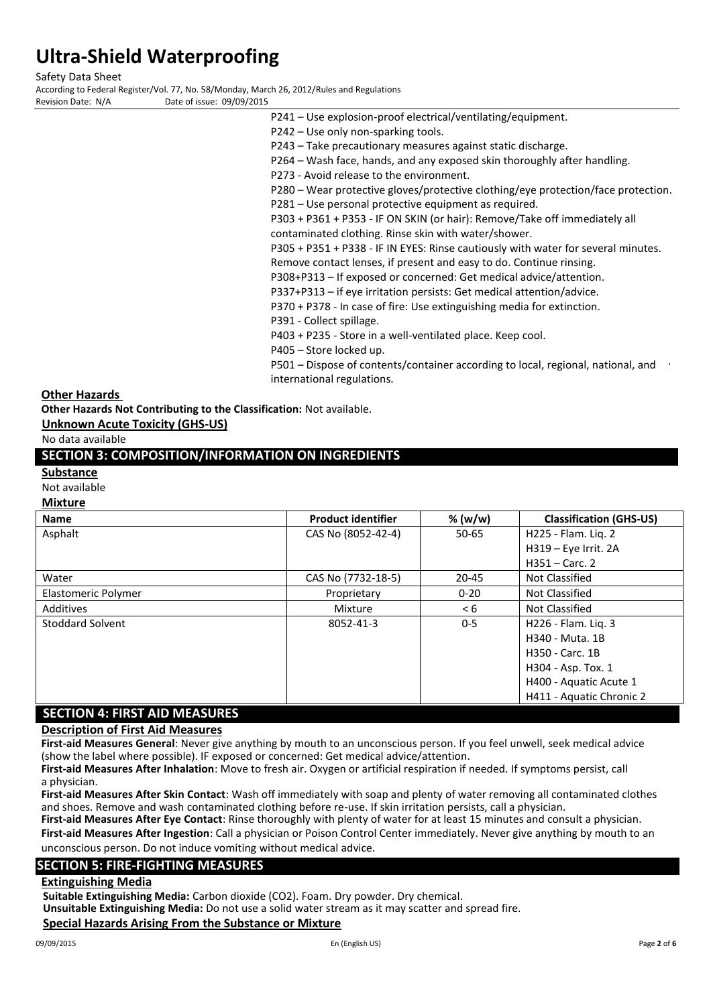Safety Data Sheet

According to Federal Register/Vol. 77, No. 58/Monday, March 26, 2012/Rules and Regulations Date of issue: 09/09/2015

- 
- P241 Use explosion-proof electrical/ventilating/equipment.
	- P242 Use only non-sparking tools.
	- P243 Take precautionary measures against static discharge.
	- P264 Wash face, hands, and any exposed skin thoroughly after handling.
	- P273 Avoid release to the environment.
	- P280 Wear protective gloves/protective clothing/eye protection/face protection.
	- P281 Use personal protective equipment as required.
	- P303 + P361 + P353 IF ON SKIN (or hair): Remove/Take off immediately all contaminated clothing. Rinse skin with water/shower.
	- P305 + P351 + P338 IF IN EYES: Rinse cautiously with water for several minutes.
	- Remove contact lenses, if present and easy to do. Continue rinsing.
	- P308+P313 If exposed or concerned: Get medical advice/attention.
	- P337+P313 if eye irritation persists: Get medical attention/advice.
	- P370 + P378 In case of fire: Use extinguishing media for extinction.
	- P391 Collect spillage.

P403 + P235 - Store in a well-ventilated place. Keep cool.

- P405 Store locked up.
- P501 Dispose of contents/container according to local, regional, national, and international regulations.

#### **Other Hazards**

**Other Hazards Not Contributing to the Classification:** Not available.

### **Unknown Acute Toxicity (GHS-US)**

No data available

# **SECTION 3: COMPOSITION/INFORMATION ON INGREDIENTS**

### **Substance**

Not available

#### **Mixture**

| <b>Name</b>                          | <b>Product identifier</b> | % (w/w)   | <b>Classification (GHS-US)</b> |
|--------------------------------------|---------------------------|-----------|--------------------------------|
| Asphalt                              | CAS No (8052-42-4)        | $50 - 65$ | H225 - Flam. Liq. 2            |
|                                      |                           |           | H319 - Eye Irrit. 2A           |
|                                      |                           |           | $H351 - Carc.$ 2               |
| Water                                | CAS No (7732-18-5)        | $20 - 45$ | Not Classified                 |
| Elastomeric Polymer                  | Proprietary               | $0 - 20$  | Not Classified                 |
| Additives                            | Mixture                   | < 6       | Not Classified                 |
| Stoddard Solvent                     | 8052-41-3                 | $0 - 5$   | H226 - Flam. Lig. 3            |
|                                      |                           |           | H340 - Muta, 1B                |
|                                      |                           |           | H350 - Carc. 1B                |
|                                      |                           |           | H304 - Asp. Tox. 1             |
|                                      |                           |           | H400 - Aquatic Acute 1         |
|                                      |                           |           | H411 - Aquatic Chronic 2       |
| <b>SECTION 4: FIRST AID MEASURES</b> |                           |           |                                |

**Description of First Aid Measures**

**First-aid Measures General**: Never give anything by mouth to an unconscious person. If you feel unwell, seek medical advice (show the label where possible). IF exposed or concerned: Get medical advice/attention.

**First-aid Measures After Inhalation**: Move to fresh air. Oxygen or artificial respiration if needed. If symptoms persist, call a physician.

**First-aid Measures After Skin Contact**: Wash off immediately with soap and plenty of water removing all contaminated clothes and shoes. Remove and wash contaminated clothing before re-use. If skin irritation persists, call a physician.

**First-aid Measures After Eye Contact**: Rinse thoroughly with plenty of water for at least 15 minutes and consult a physician. **First-aid Measures After Ingestion**: Call a physician or Poison Control Center immediately. Never give anything by mouth to an unconscious person. Do not induce vomiting without medical advice.

## **SECTION 5: FIRE-FIGHTING MEASURES**

### **Extinguishing Media**

**Suitable Extinguishing Media:** Carbon dioxide (CO2). Foam. Dry powder. Dry chemical.

**Unsuitable Extinguishing Media:** Do not use a solid water stream as it may scatter and spread fire.

### **Special Hazards Arising From the Substance or Mixture**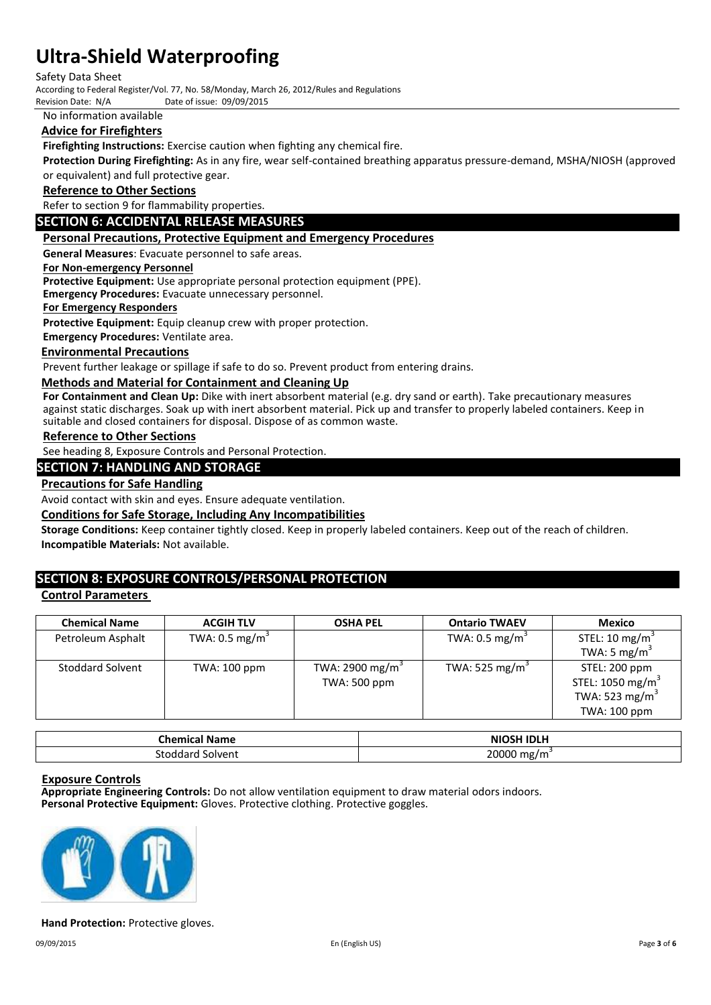#### Safety Data Sheet

According to Federal Register/Vol. 77, No. 58/Monday, March 26, 2012/Rules and Regulations

Date of issue: 09/09/2015

No information available

### **Advice for Firefighters**

**Firefighting Instructions:** Exercise caution when fighting any chemical fire.

**Protection During Firefighting:** As in any fire, wear self-contained breathing apparatus pressure-demand, MSHA/NIOSH (approved or equivalent) and full protective gear.

#### **Reference to Other Sections**

Refer to section 9 for flammability properties.

#### **SECTION 6: ACCIDENTAL RELEASE MEASURES**

#### **Personal Precautions, Protective Equipment and Emergency Procedures**

**General Measures**: Evacuate personnel to safe areas.

#### **For Non-emergency Personnel**

**Protective Equipment:** Use appropriate personal protection equipment (PPE).

**Emergency Procedures:** Evacuate unnecessary personnel.

#### **For Emergency Responders**

**Protective Equipment:** Equip cleanup crew with proper protection.

**Emergency Procedures:** Ventilate area.

#### **Environmental Precautions**

Prevent further leakage or spillage if safe to do so. Prevent product from entering drains.

#### **Methods and Material for Containment and Cleaning Up**

**For Containment and Clean Up:** Dike with inert absorbent material (e.g. dry sand or earth). Take precautionary measures against static discharges. Soak up with inert absorbent material. Pick up and transfer to properly labeled containers. Keep in suitable and closed containers for disposal. Dispose of as common waste.

#### **Reference to Other Sections**

See heading 8, Exposure Controls and Personal Protection.

### **SECTION 7: HANDLING AND STORAGE**

#### **Precautions for Safe Handling**

Avoid contact with skin and eyes. Ensure adequate ventilation.

#### **Conditions for Safe Storage, Including Any Incompatibilities**

**Storage Conditions:** Keep container tightly closed. Keep in properly labeled containers. Keep out of the reach of children. **Incompatible Materials:** Not available.

## **SECTION 8: EXPOSURE CONTROLS/PERSONAL PROTECTION**

### **Control Parameters**

| <b>Chemical Name</b>    | <b>ACGIH TLV</b>          | <b>OSHA PEL</b>     | <b>Ontario TWAEV</b>       | Mexico                       |
|-------------------------|---------------------------|---------------------|----------------------------|------------------------------|
| Petroleum Asphalt       | TWA: $0.5 \text{ mg/m}^3$ |                     | TWA: $0.5 \text{ mg/m}^3$  | STEL: 10 mg/m <sup>3</sup>   |
|                         |                           |                     |                            | TWA: 5 mg/m <sup>3</sup>     |
| <b>Stoddard Solvent</b> | TWA: 100 ppm              | TWA: 2900 mg/m $3$  | TWA: 525 mg/m <sup>3</sup> | STEL: 200 ppm                |
|                         |                           | <b>TWA: 500 ppm</b> |                            | STEL: 1050 mg/m <sup>3</sup> |
|                         |                           |                     |                            | TWA: 523 mg/m <sup>3</sup>   |
|                         |                           |                     |                            | TWA: 100 ppm                 |

| <b>Chemical</b> ,<br><b>Name</b> | <b>NIOSH IDLH</b>                          |
|----------------------------------|--------------------------------------------|
| stodr<br><b>Nolven</b>           | annnn<br>ם מספר<br>mg/.<br>$\cdot$ $\cdot$ |

#### **Exposure Controls**

**Appropriate Engineering Controls:** Do not allow ventilation equipment to draw material odors indoors. **Personal Protective Equipment:** Gloves. Protective clothing. Protective goggles.



#### **Hand Protection:** Protective gloves.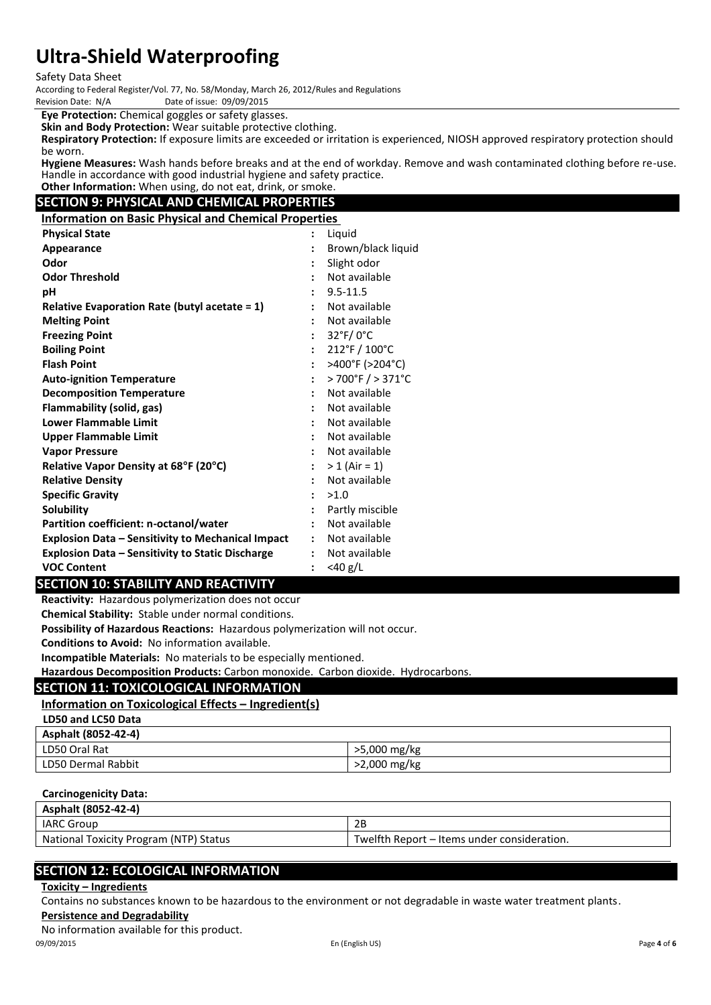Safety Data Sheet

According to Federal Register/Vol. 77, No. 58/Monday, March 26, 2012/Rules and Regulations Date of issue: 09/09/2015

**Eye Protection:** Chemical goggles or safety glasses.

**Skin and Body Protection:** Wear suitable protective clothing.

**Respiratory Protection:** If exposure limits are exceeded or irritation is experienced, NIOSH approved respiratory protection should be worn.

**Hygiene Measures:** Wash hands before breaks and at the end of workday. Remove and wash contaminated clothing before re-use. Handle in accordance with good industrial hygiene and safety practice. **Other Information:** When using, do not eat, drink, or smoke.

# **SECTION 9: PHYSICAL AND CHEMICAL PROPERTIES**

**Information on Basic Physical and Chemical Properties**

| <b>Physical State</b>                                    | $\ddot{\phantom{a}}$ | Liquid                            |
|----------------------------------------------------------|----------------------|-----------------------------------|
| Appearance                                               | $\ddot{\cdot}$       | Brown/black liquid                |
| Odor                                                     |                      | Slight odor                       |
| <b>Odor Threshold</b>                                    |                      | Not available                     |
| pH                                                       |                      | $9.5 - 11.5$                      |
| <b>Relative Evaporation Rate (butyl acetate = 1)</b>     |                      | Not available                     |
| <b>Melting Point</b>                                     |                      | Not available                     |
| <b>Freezing Point</b>                                    | $\ddot{\cdot}$       | $32^{\circ}$ F/0 $^{\circ}$ C     |
| <b>Boiling Point</b>                                     | $\ddot{\cdot}$       | $212^{\circ}$ F / $100^{\circ}$ C |
| <b>Flash Point</b>                                       | $\ddot{\cdot}$       | >400°F (>204°C)                   |
| <b>Auto-ignition Temperature</b>                         | $\ddot{\cdot}$       | > 700°F / > 371°C                 |
| <b>Decomposition Temperature</b>                         |                      | Not available                     |
| Flammability (solid, gas)                                |                      | Not available                     |
| <b>Lower Flammable Limit</b>                             |                      | Not available                     |
| <b>Upper Flammable Limit</b>                             |                      | Not available                     |
| <b>Vapor Pressure</b>                                    | $\ddot{\cdot}$       | Not available                     |
| Relative Vapor Density at 68°F (20°C)                    | $\ddot{\phantom{a}}$ | $> 1$ (Air = 1)                   |
| <b>Relative Density</b>                                  | $\ddot{\cdot}$       | Not available                     |
| <b>Specific Gravity</b>                                  | $\cdot$              | >1.0                              |
| <b>Solubility</b>                                        |                      | Partly miscible                   |
| Partition coefficient: n-octanol/water                   | $\ddot{\cdot}$       | Not available                     |
| <b>Explosion Data - Sensitivity to Mechanical Impact</b> | $\ddot{\cdot}$       | Not available                     |
| <b>Explosion Data - Sensitivity to Static Discharge</b>  | $\ddot{\cdot}$       | Not available                     |
| <b>VOC Content</b>                                       | $\ddot{\cdot}$       | $<$ 40 g/L                        |

## **SECTION 10: STABILITY AND REACTIVITY**

**Reactivity:** Hazardous polymerization does not occur

**Chemical Stability:** Stable under normal conditions.

**Possibility of Hazardous Reactions:** Hazardous polymerization will not occur.

**Conditions to Avoid:** No information available.

**Incompatible Materials:** No materials to be especially mentioned.

**Hazardous Decomposition Products:** Carbon monoxide. Carbon dioxide. Hydrocarbons.

# **SECTION 11: TOXICOLOGICAL INFORMATION**

# **Information on Toxicological Effects – Ingredient(s)**

**LD50 and LC50 Data**

| Asphalt (8052-42-4) |              |
|---------------------|--------------|
| LD50 Oral Rat       | >5,000 mg/kg |
| LD50 Dermal Rabbit  | >2,000 mg/kg |

#### **Carcinogenicity Data:**

| Asphalt (8052-42-4)                    |                                             |
|----------------------------------------|---------------------------------------------|
| <b>IARC Group</b>                      | 2B                                          |
| National Toxicity Program (NTP) Status | Twelfth Report – Items under consideration. |

# **SECTION 12: ECOLOGICAL INFORMATION**

### **Toxicity – Ingredients**

Contains no substances known to be hazardous to the environment or not degradable in waste water treatment plants.

**Persistence and Degradability**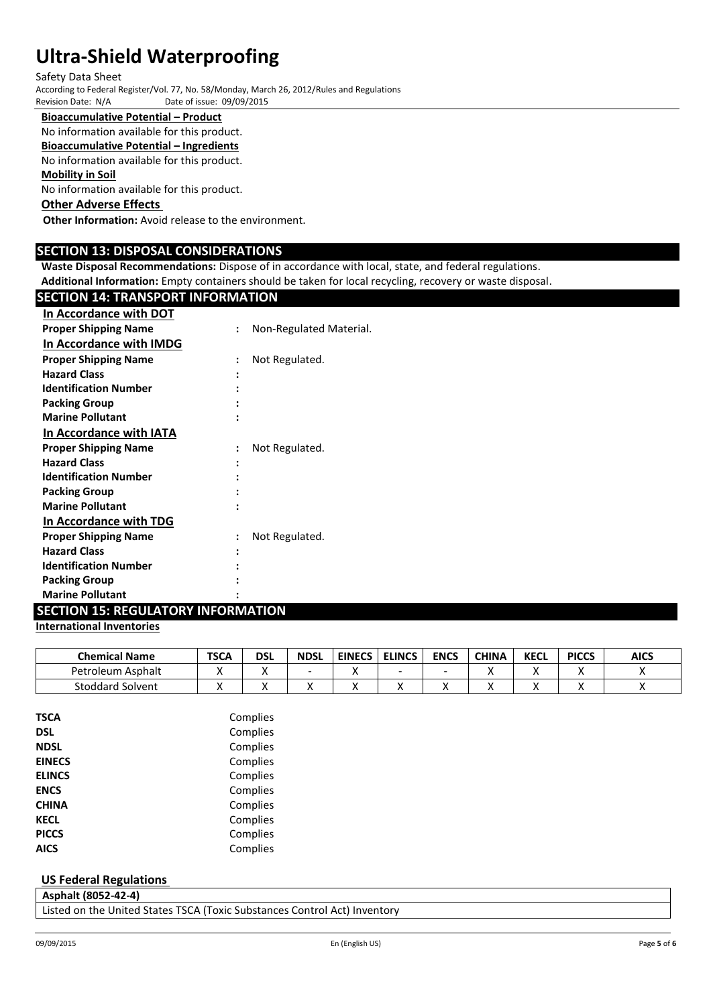#### Safety Data Sheet

According to Federal Register/Vol. 77, No. 58/Monday, March 26, 2012/Rules and Regulations Date of issue: 09/09/2015

# **Bioaccumulative Potential – Product**

No information available for this product.

**Bioaccumulative Potential – Ingredients**

No information available for this product.

# **Mobility in Soil**

No information available for this product.

# **Other Adverse Effects**

**Other Information:** Avoid release to the environment.

## **SECTION 13: DISPOSAL CONSIDERATIONS**

**Waste Disposal Recommendations:** Dispose of in accordance with local, state, and federal regulations.

**Additional Information:** Empty containers should be taken for local recycling, recovery or waste disposal.

# **SECTION 14: TRANSPORT INFORMATION**

| In Accordance with DOT       |                |                         |
|------------------------------|----------------|-------------------------|
| <b>Proper Shipping Name</b>  |                | Non-Regulated Material. |
| In Accordance with IMDG      |                |                         |
| <b>Proper Shipping Name</b>  |                | Not Regulated.          |
| <b>Hazard Class</b>          |                |                         |
| <b>Identification Number</b> |                |                         |
| <b>Packing Group</b>         |                |                         |
| <b>Marine Pollutant</b>      |                |                         |
| In Accordance with IATA      |                |                         |
| <b>Proper Shipping Name</b>  | $\ddot{\cdot}$ | Not Regulated.          |
| <b>Hazard Class</b>          |                |                         |
| <b>Identification Number</b> |                |                         |
| <b>Packing Group</b>         |                |                         |
| <b>Marine Pollutant</b>      |                |                         |
| In Accordance with TDG       |                |                         |
| <b>Proper Shipping Name</b>  |                | Not Regulated.          |
| <b>Hazard Class</b>          |                |                         |
| <b>Identification Number</b> |                |                         |
| <b>Packing Group</b>         |                |                         |
| <b>Marine Pollutant</b>      |                |                         |

# **SECTION 15: REGULATORY INFORMATION**

### **International Inventories**

| <b>Chemical Name</b>    | <b>TSCA</b> | DSL | <b>NDSL</b> | <b>EINECS</b> | <b>ELINCS</b> | <b>ENCS</b> | <b>CHINA</b> | <b>KECL</b> | <b>PICCS</b> | <b>AICS</b> |
|-------------------------|-------------|-----|-------------|---------------|---------------|-------------|--------------|-------------|--------------|-------------|
| Petroleum<br>i Asphalt  |             |     |             |               | -             |             |              |             |              |             |
| <b>Stoddard Solvent</b> |             |     |             |               |               |             |              |             |              |             |

| TSCA          | Complies |
|---------------|----------|
| DSL           | Complies |
| <b>NDSL</b>   | Complies |
| <b>EINECS</b> | Complies |
| <b>ELINCS</b> | Complies |
| <b>ENCS</b>   | Complies |
| CHINA         | Complies |
| <b>KECL</b>   | Complies |
| <b>PICCS</b>  | Complies |
| AICS          | Complies |
|               |          |

### **US Federal Regulations**

|  | Asphalt (8052-42-4) |                                                                                                                 |  |  |
|--|---------------------|-----------------------------------------------------------------------------------------------------------------|--|--|
|  |                     | the contract of the contract of the contract of the contract of the contract of the contract of the contract of |  |  |

Listed on the United States TSCA (Toxic Substances Control Act) Inventory